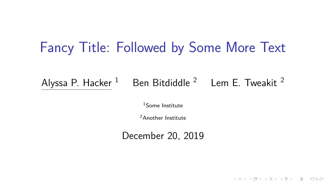## Fancy Title: Followed by Some More Text

Alyssa P. Hacker  $1$  Ben Bitdiddle  $2$  Lem E. Tweakit  $2$ 

<sup>1</sup>Some Institute

<sup>2</sup>Another Institute

December 20, 2019

**KOD KAD KED KED DRA**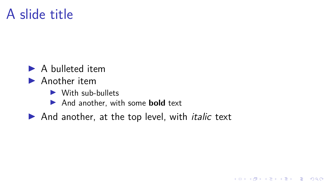## A slide title

- $\blacktriangleright$  A bulleted item
- $\blacktriangleright$  Another item
	- $\blacktriangleright$  With sub-bullets
	- **In And another, with some bold text**
- $\blacktriangleright$  And another, at the top level, with *italic* text

K ロ ▶ K 個 ▶ K 할 ▶ K 할 ▶ 이 할 → 9 Q Q →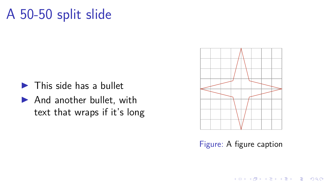## A 50-50 split slide

- $\blacktriangleright$  This side has a bullet
- $\blacktriangleright$  And another bullet, with text that wraps if it's long



Figure: A figure caption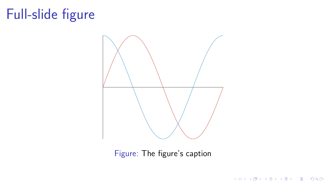# Full-slide figure



Figure: The figure's caption

K ロ ▶ K 個 ▶ K 할 ▶ K 할 ▶ 이 할 → K 이익(연)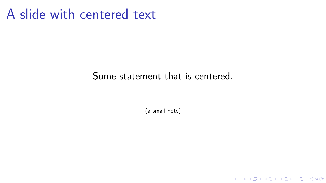### A slide with centered text

#### Some statement that is centered.

(a small note)

KO KKOKKEKKEK E DAG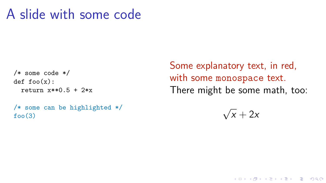### A slide with some code

```
/* some code */
def foo(x):
  return x**0.5 + 2*x
```

```
/* some can be highlighted */
foo(3)
```
Some explanatory text, in red, with some monospace text. There might be some math, too:

> √  $x + 2x$

> > K ロ ▶ K 個 ▶ K 할 ▶ K 할 ▶ 이 할 → 9 Q Q →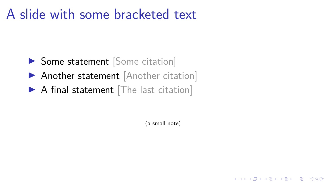## A slide with some bracketed text

- **In Some statement** [Some citation]
- **Another statement** [Another citation]
- $\triangleright$  A final statement The last citation]

(a small note)

K ロ ▶ K 個 ▶ K 할 ▶ K 할 ▶ 이 할 → 9 Q Q →